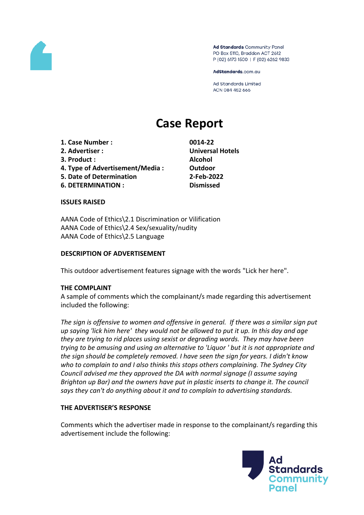

Ad Standards Community Panel PO Box 5110, Braddon ACT 2612 P (02) 6173 1500 | F (02) 6262 9833

AdStandards.com.au

**Ad Standards Limited** ACN 084 452 666

# **Case Report**

**1. Case Number : 0014-22 2. Advertiser : Universal Hotels 3. Product : Alcohol 4. Type of Advertisement/Media : Outdoor 5. Date of Determination 2-Feb-2022 6. DETERMINATION : Dismissed**

#### **ISSUES RAISED**

AANA Code of Ethics\2.1 Discrimination or Vilification AANA Code of Ethics\2.4 Sex/sexuality/nudity AANA Code of Ethics\2.5 Language

#### **DESCRIPTION OF ADVERTISEMENT**

This outdoor advertisement features signage with the words "Lick her here".

## **THE COMPLAINT**

A sample of comments which the complainant/s made regarding this advertisement included the following:

*The sign is offensive to women and offensive in general. If there was a similar sign put up saying 'lick him here' they would not be allowed to put it up. In this day and age they are trying to rid places using sexist or degrading words. They may have been trying to be amusing and using an alternative to 'Liquor ' but it is not appropriate and the sign should be completely removed. I have seen the sign for years. I didn't know who to complain to and I also thinks this stops others complaining. The Sydney City Council advised me they approved the DA with normal signage (I assume saying Brighton up Bar) and the owners have put in plastic inserts to change it. The council says they can't do anything about it and to complain to advertising standards.*

#### **THE ADVERTISER'S RESPONSE**

Comments which the advertiser made in response to the complainant/s regarding this advertisement include the following:

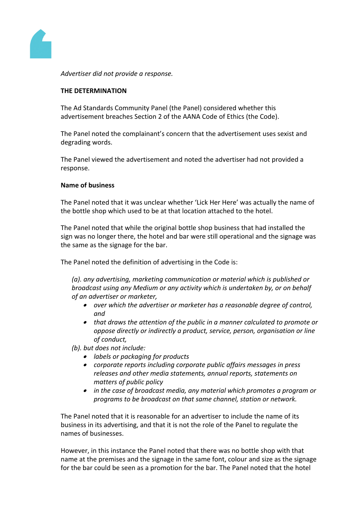

*Advertiser did not provide a response.*

#### **THE DETERMINATION**

The Ad Standards Community Panel (the Panel) considered whether this advertisement breaches Section 2 of the AANA Code of Ethics (the Code).

The Panel noted the complainant's concern that the advertisement uses sexist and degrading words.

The Panel viewed the advertisement and noted the advertiser had not provided a response.

#### **Name of business**

The Panel noted that it was unclear whether 'Lick Her Here' was actually the name of the bottle shop which used to be at that location attached to the hotel.

The Panel noted that while the original bottle shop business that had installed the sign was no longer there, the hotel and bar were still operational and the signage was the same as the signage for the bar.

The Panel noted the definition of advertising in the Code is:

*(a). any advertising, marketing communication or material which is published or broadcast using any Medium or any activity which is undertaken by, or on behalf of an advertiser or marketer,*

- *over which the advertiser or marketer has a reasonable degree of control, and*
- *that draws the attention of the public in a manner calculated to promote or oppose directly or indirectly a product, service, person, organisation or line of conduct,*

*(b). but does not include:*

- *labels or packaging for products*
- *corporate reports including corporate public affairs messages in press releases and other media statements, annual reports, statements on matters of public policy*
- *in the case of broadcast media, any material which promotes a program or programs to be broadcast on that same channel, station or network.*

The Panel noted that it is reasonable for an advertiser to include the name of its business in its advertising, and that it is not the role of the Panel to regulate the names of businesses.

However, in this instance the Panel noted that there was no bottle shop with that name at the premises and the signage in the same font, colour and size as the signage for the bar could be seen as a promotion for the bar. The Panel noted that the hotel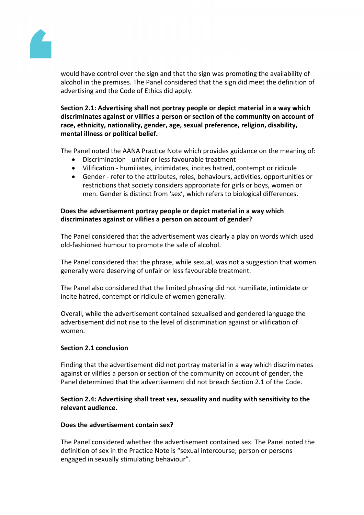

would have control over the sign and that the sign was promoting the availability of alcohol in the premises. The Panel considered that the sign did meet the definition of advertising and the Code of Ethics did apply.

**Section 2.1: Advertising shall not portray people or depict material in a way which discriminates against or vilifies a person or section of the community on account of race, ethnicity, nationality, gender, age, sexual preference, religion, disability, mental illness or political belief.**

The Panel noted the AANA Practice Note which provides guidance on the meaning of:

- Discrimination unfair or less favourable treatment
- Vilification humiliates, intimidates, incites hatred, contempt or ridicule
- Gender refer to the attributes, roles, behaviours, activities, opportunities or restrictions that society considers appropriate for girls or boys, women or men. Gender is distinct from 'sex', which refers to biological differences.

# **Does the advertisement portray people or depict material in a way which discriminates against or vilifies a person on account of gender?**

The Panel considered that the advertisement was clearly a play on words which used old-fashioned humour to promote the sale of alcohol.

The Panel considered that the phrase, while sexual, was not a suggestion that women generally were deserving of unfair or less favourable treatment.

The Panel also considered that the limited phrasing did not humiliate, intimidate or incite hatred, contempt or ridicule of women generally.

Overall, while the advertisement contained sexualised and gendered language the advertisement did not rise to the level of discrimination against or vilification of women.

## **Section 2.1 conclusion**

Finding that the advertisement did not portray material in a way which discriminates against or vilifies a person or section of the community on account of gender, the Panel determined that the advertisement did not breach Section 2.1 of the Code.

## **Section 2.4: Advertising shall treat sex, sexuality and nudity with sensitivity to the relevant audience.**

## **Does the advertisement contain sex?**

The Panel considered whether the advertisement contained sex. The Panel noted the definition of sex in the Practice Note is "sexual intercourse; person or persons engaged in sexually stimulating behaviour".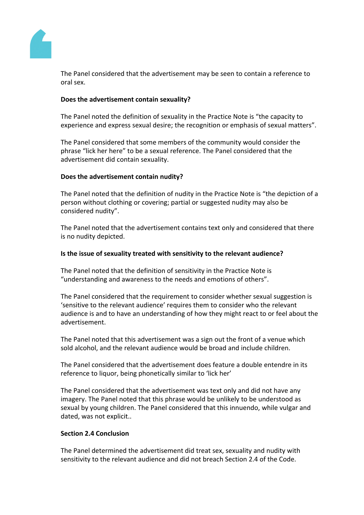

The Panel considered that the advertisement may be seen to contain a reference to oral sex.

## **Does the advertisement contain sexuality?**

The Panel noted the definition of sexuality in the Practice Note is "the capacity to experience and express sexual desire; the recognition or emphasis of sexual matters".

The Panel considered that some members of the community would consider the phrase "lick her here" to be a sexual reference. The Panel considered that the advertisement did contain sexuality.

## **Does the advertisement contain nudity?**

The Panel noted that the definition of nudity in the Practice Note is "the depiction of a person without clothing or covering; partial or suggested nudity may also be considered nudity".

The Panel noted that the advertisement contains text only and considered that there is no nudity depicted.

## **Is the issue of sexuality treated with sensitivity to the relevant audience?**

The Panel noted that the definition of sensitivity in the Practice Note is "understanding and awareness to the needs and emotions of others".

The Panel considered that the requirement to consider whether sexual suggestion is 'sensitive to the relevant audience' requires them to consider who the relevant audience is and to have an understanding of how they might react to or feel about the advertisement.

The Panel noted that this advertisement was a sign out the front of a venue which sold alcohol, and the relevant audience would be broad and include children.

The Panel considered that the advertisement does feature a double entendre in its reference to liquor, being phonetically similar to 'lick her'

The Panel considered that the advertisement was text only and did not have any imagery. The Panel noted that this phrase would be unlikely to be understood as sexual by young children. The Panel considered that this innuendo, while vulgar and dated, was not explicit..

## **Section 2.4 Conclusion**

The Panel determined the advertisement did treat sex, sexuality and nudity with sensitivity to the relevant audience and did not breach Section 2.4 of the Code.